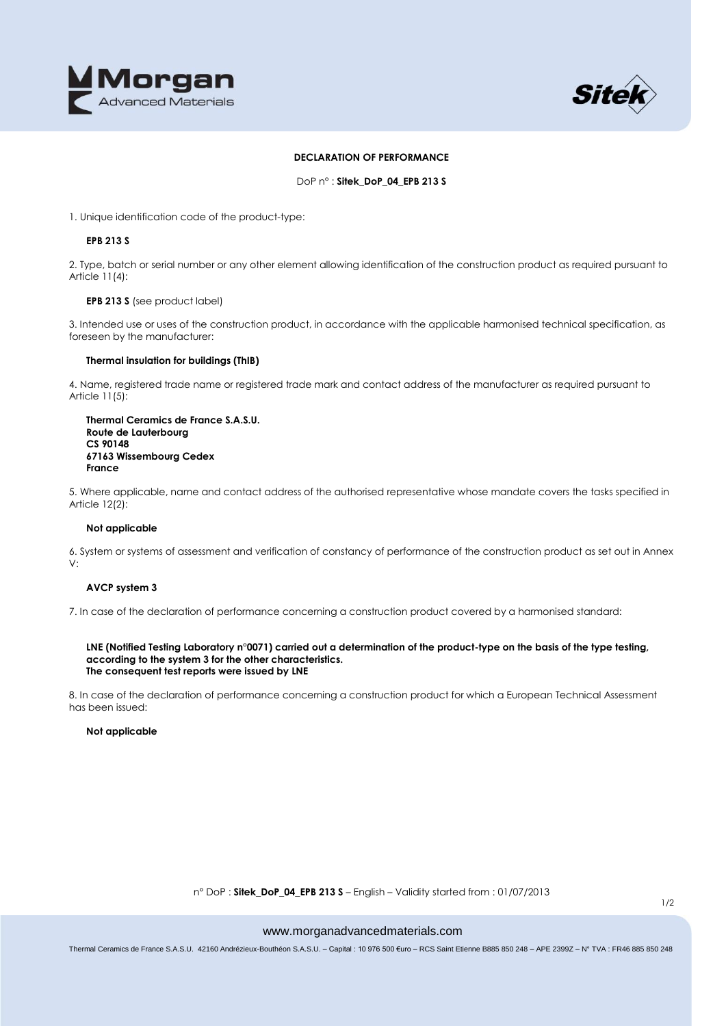



## **DECLARATION OF PERFORMANCE**

DoP n° : **Sitek\_DoP\_04\_EPB 213 S**

1. Unique identification code of the product-type:

## **EPB 213 S**

2. Type, batch or serial number or any other element allowing identification of the construction product as required pursuant to Article 11(4):

## **EPB 213 S** (see product label)

3. Intended use or uses of the construction product, in accordance with the applicable harmonised technical specification, as foreseen by the manufacturer:

# **Thermal insulation for buildings (ThIB)**

4. Name, registered trade name or registered trade mark and contact address of the manufacturer as required pursuant to Article 11(5):

## **Thermal Ceramics de France S.A.S.U. Route de Lauterbourg CS 90148 67163 Wissembourg Cedex France**

5. Where applicable, name and contact address of the authorised representative whose mandate covers the tasks specified in Article 12(2):

# **Not applicable**

6. System or systems of assessment and verification of constancy of performance of the construction product as set out in Annex V:

### **AVCP system 3**

7. In case of the declaration of performance concerning a construction product covered by a harmonised standard:

#### **LNE (Notified Testing Laboratory n°0071) carried out a determination of the product-type on the basis of the type testing, according to the system 3 for the other characteristics. The consequent test reports were issued by LNE**

8. In case of the declaration of performance concerning a construction product for which a European Technical Assessment has been issued:

#### **Not applicable**

n° DoP : **Sitek\_DoP\_04\_EPB 213 S** – English – Validity started from : 01/07/2013

#### www.morganadvancedmaterials.com

Thermal Ceramics de France S.A.S.U. 42160 Andrézieux-Bouthéon S.A.S.U. – Capital : 10 976 500 €uro – RCS Saint Etienne B885 850 248 – APE 2399Z – N° TVA : FR46 885 850 248